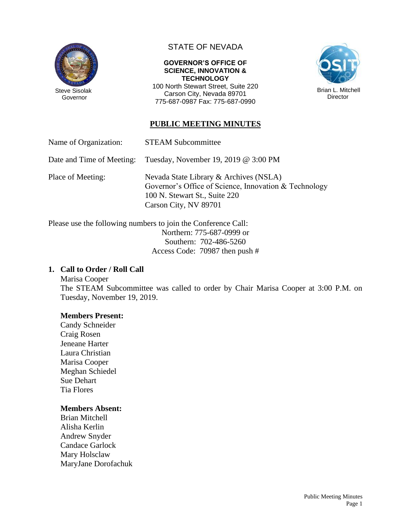

Governor

# STATE OF NEVADA

#### **GOVERNOR'S OFFICE OF SCIENCE, INNOVATION & TECHNOLOGY**

100 North Stewart Street, Suite 220 Carson City, Nevada 89701 775-687-0987 Fax: 775-687-0990



## **PUBLIC MEETING MINUTES**

Name of Organization: STEAM Subcommittee

Date and Time of Meeting: Tuesday, November 19, 2019 @ 3:00 PM

Place of Meeting: Nevada State Library & Archives (NSLA) Governor's Office of Science, Innovation & Technology 100 N. Stewart St., Suite 220 Carson City, NV 89701

Please use the following numbers to join the Conference Call: Northern: 775-687-0999 or Southern: 702-486-5260 Access Code: 70987 then push #

### **1. Call to Order / Roll Call**

Marisa Cooper The STEAM Subcommittee was called to order by Chair Marisa Cooper at 3:00 P.M. on Tuesday, November 19, 2019.

### **Members Present:**

Candy Schneider Craig Rosen Jeneane Harter Laura Christian Marisa Cooper Meghan Schiedel Sue Dehart Tia Flores

#### **Members Absent:**

Brian Mitchell Alisha Kerlin Andrew Snyder Candace Garlock Mary Holsclaw MaryJane Dorofachuk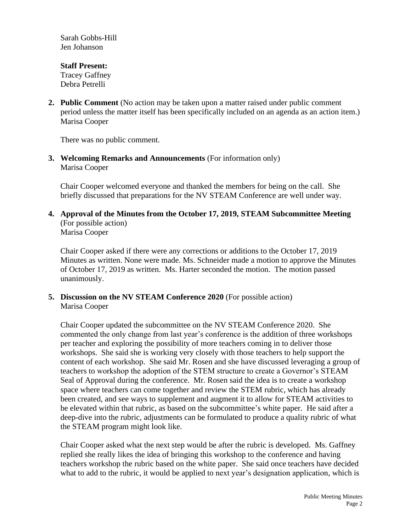Sarah Gobbs-Hill Jen Johanson

#### **Staff Present:** Tracey Gaffney Debra Petrelli

**2. Public Comment** (No action may be taken upon a matter raised under public comment period unless the matter itself has been specifically included on an agenda as an action item.) Marisa Cooper

There was no public comment.

**3. Welcoming Remarks and Announcements** (For information only) Marisa Cooper

Chair Cooper welcomed everyone and thanked the members for being on the call. She briefly discussed that preparations for the NV STEAM Conference are well under way.

**4. Approval of the Minutes from the October 17, 2019, STEAM Subcommittee Meeting** (For possible action) Marisa Cooper

Chair Cooper asked if there were any corrections or additions to the October 17, 2019 Minutes as written. None were made. Ms. Schneider made a motion to approve the Minutes of October 17, 2019 as written. Ms. Harter seconded the motion. The motion passed unanimously.

**5. Discussion on the NV STEAM Conference 2020** (For possible action) Marisa Cooper

Chair Cooper updated the subcommittee on the NV STEAM Conference 2020. She commented the only change from last year's conference is the addition of three workshops per teacher and exploring the possibility of more teachers coming in to deliver those workshops. She said she is working very closely with those teachers to help support the content of each workshop. She said Mr. Rosen and she have discussed leveraging a group of teachers to workshop the adoption of the STEM structure to create a Governor's STEAM Seal of Approval during the conference. Mr. Rosen said the idea is to create a workshop space where teachers can come together and review the STEM rubric, which has already been created, and see ways to supplement and augment it to allow for STEAM activities to be elevated within that rubric, as based on the subcommittee's white paper. He said after a deep-dive into the rubric, adjustments can be formulated to produce a quality rubric of what the STEAM program might look like.

Chair Cooper asked what the next step would be after the rubric is developed. Ms. Gaffney replied she really likes the idea of bringing this workshop to the conference and having teachers workshop the rubric based on the white paper. She said once teachers have decided what to add to the rubric, it would be applied to next year's designation application, which is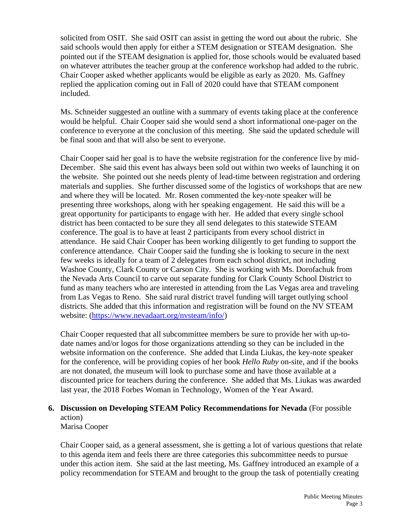solicited from OSIT. She said OSIT can assist in getting the word out about the rubric. She said schools would then apply for either a STEM designation or STEAM designation. She pointed out if the STEAM designation is applied for, those schools would be evaluated based on whatever attributes the teacher group at the conference workshop had added to the rubric. Chair Cooper asked whether applicants would be eligible as early as 2020. Ms. Gaffney replied the application coming out in Fall of 2020 could have that STEAM component included.

Ms. Schneider suggested an outline with a summary of events taking place at the conference would be helpful. Chair Cooper said she would send a short informational one-pager on the conference to everyone at the conclusion of this meeting. She said the updated schedule will be final soon and that will also be sent to everyone.

Chair Cooper said her goal is to have the website registration for the conference live by mid-December. She said this event has always been sold out within two weeks of launching it on the website. She pointed out she needs plenty of lead-time between registration and ordering materials and supplies. She further discussed some of the logistics of workshops that are new and where they will be located. Mr. Rosen commented the key-note speaker will be presenting three workshops, along with her speaking engagement. He said this will be a great opportunity for participants to engage with her. He added that every single school district has been contacted to be sure they all send delegates to this statewide STEAM conference. The goal is to have at least 2 participants from every school district in attendance. He said Chair Cooper has been working diligently to get funding to support the conference attendance. Chair Cooper said the funding she is looking to secure in the next few weeks is ideally for a team of 2 delegates from each school district, not including Washoe County, Clark County or Carson City. She is working with Ms. Dorofachuk from the Nevada Arts Council to carve out separate funding for Clark County School District to fund as many teachers who are interested in attending from the Las Vegas area and traveling from Las Vegas to Reno. She said rural district travel funding will target outlying school districts. She added that this information and registration will be found on the NV STEAM website: [\(https://www.nevadaart.org/nvsteam/info/\)](https://www.nevadaart.org/nvsteam/info/)

Chair Cooper requested that all subcommittee members be sure to provide her with up-todate names and/or logos for those organizations attending so they can be included in the website information on the conference. She added that Linda Liukas, the key-note speaker for the conference, will be providing copies of her book *Hello Ruby* on-site, and if the books are not donated, the museum will look to purchase some and have those available at a discounted price for teachers during the conference. She added that Ms. Liukas was awarded last year, the 2018 Forbes Woman in Technology, Women of the Year Award.

# **6. Discussion on Developing STEAM Policy Recommendations for Nevada** (For possible action)

Marisa Cooper

Chair Cooper said, as a general assessment, she is getting a lot of various questions that relate to this agenda item and feels there are three categories this subcommittee needs to pursue under this action item. She said at the last meeting, Ms. Gaffney introduced an example of a policy recommendation for STEAM and brought to the group the task of potentially creating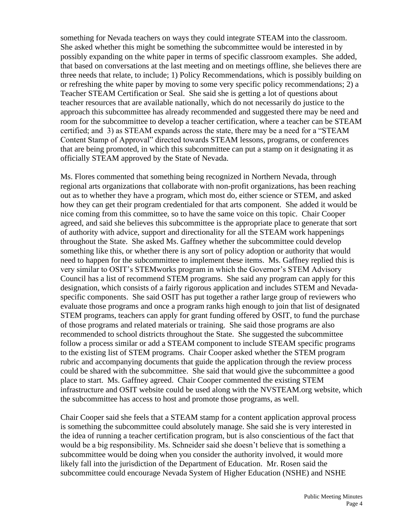something for Nevada teachers on ways they could integrate STEAM into the classroom. She asked whether this might be something the subcommittee would be interested in by possibly expanding on the white paper in terms of specific classroom examples. She added, that based on conversations at the last meeting and on meetings offline, she believes there are three needs that relate, to include; 1) Policy Recommendations, which is possibly building on or refreshing the white paper by moving to some very specific policy recommendations; 2) a Teacher STEAM Certification or Seal. She said she is getting a lot of questions about teacher resources that are available nationally, which do not necessarily do justice to the approach this subcommittee has already recommended and suggested there may be need and room for the subcommittee to develop a teacher certification, where a teacher can be STEAM certified; and 3) as STEAM expands across the state, there may be a need for a "STEAM Content Stamp of Approval" directed towards STEAM lessons, programs, or conferences that are being promoted, in which this subcommittee can put a stamp on it designating it as officially STEAM approved by the State of Nevada.

Ms. Flores commented that something being recognized in Northern Nevada, through regional arts organizations that collaborate with non-profit organizations, has been reaching out as to whether they have a program, which most do, either science or STEM, and asked how they can get their program credentialed for that arts component. She added it would be nice coming from this committee, so to have the same voice on this topic. Chair Cooper agreed, and said she believes this subcommittee is the appropriate place to generate that sort of authority with advice, support and directionality for all the STEAM work happenings throughout the State. She asked Ms. Gaffney whether the subcommittee could develop something like this, or whether there is any sort of policy adoption or authority that would need to happen for the subcommittee to implement these items. Ms. Gaffney replied this is very similar to OSIT's STEMworks program in which the Governor's STEM Advisory Council has a list of recommend STEM programs. She said any program can apply for this designation, which consists of a fairly rigorous application and includes STEM and Nevadaspecific components. She said OSIT has put together a rather large group of reviewers who evaluate those programs and once a program ranks high enough to join that list of designated STEM programs, teachers can apply for grant funding offered by OSIT, to fund the purchase of those programs and related materials or training. She said those programs are also recommended to school districts throughout the State. She suggested the subcommittee follow a process similar or add a STEAM component to include STEAM specific programs to the existing list of STEM programs. Chair Cooper asked whether the STEM program rubric and accompanying documents that guide the application through the review process could be shared with the subcommittee. She said that would give the subcommittee a good place to start. Ms. Gaffney agreed. Chair Cooper commented the existing STEM infrastructure and OSIT website could be used along with the NVSTEAM.org website, which the subcommittee has access to host and promote those programs, as well.

Chair Cooper said she feels that a STEAM stamp for a content application approval process is something the subcommittee could absolutely manage. She said she is very interested in the idea of running a teacher certification program, but is also conscientious of the fact that would be a big responsibility. Ms. Schneider said she doesn't believe that is something a subcommittee would be doing when you consider the authority involved, it would more likely fall into the jurisdiction of the Department of Education. Mr. Rosen said the subcommittee could encourage Nevada System of Higher Education (NSHE) and NSHE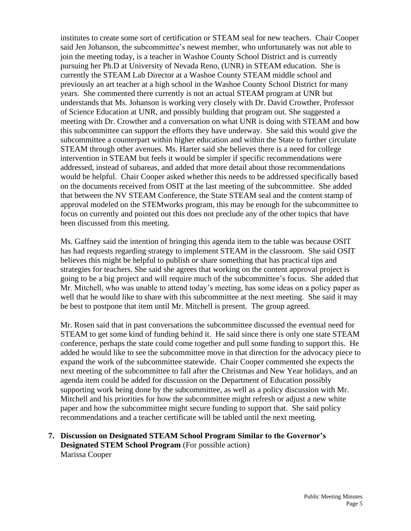institutes to create some sort of certification or STEAM seal for new teachers. Chair Cooper said Jen Johanson, the subcommittee's newest member, who unfortunately was not able to join the meeting today, is a teacher in Washoe County School District and is currently pursuing her Ph.D at University of Nevada Reno, (UNR) in STEAM education. She is currently the STEAM Lab Director at a Washoe County STEAM middle school and previously an art teacher at a high school in the Washoe County School District for many years. She commented there currently is not an actual STEAM program at UNR but understands that Ms. Johanson is working very closely with Dr. David Crowther, Professor of Science Education at UNR, and possibly building that program out. She suggested a meeting with Dr. Crowther and a conversation on what UNR is doing with STEAM and how this subcommittee can support the efforts they have underway. She said this would give the subcommittee a counterpart within higher education and within the State to further circulate STEAM through other avenues. Ms. Harter said she believes there is a need for college intervention in STEAM but feels it would be simpler if specific recommendations were addressed, instead of subareas, and added that more detail about those recommendations would be helpful. Chair Cooper asked whether this needs to be addressed specifically based on the documents received from OSIT at the last meeting of the subcommittee. She added that between the NV STEAM Conference, the State STEAM seal and the content stamp of approval modeled on the STEMworks program, this may be enough for the subcommittee to focus on currently and pointed out this does not preclude any of the other topics that have been discussed from this meeting.

Ms. Gaffney said the intention of bringing this agenda item to the table was because OSIT has had requests regarding strategy to implement STEAM in the classroom. She said OSIT believes this might be helpful to publish or share something that has practical tips and strategies for teachers. She said she agrees that working on the content approval project is going to be a big project and will require much of the subcommittee's focus. She added that Mr. Mitchell, who was unable to attend today's meeting, has some ideas on a policy paper as well that he would like to share with this subcommittee at the next meeting. She said it may be best to postpone that item until Mr. Mitchell is present. The group agreed.

Mr. Rosen said that in past conversations the subcommittee discussed the eventual need for STEAM to get some kind of funding behind it. He said since there is only one state STEAM conference, perhaps the state could come together and pull some funding to support this. He added he would like to see the subcommittee move in that direction for the advocacy piece to expand the work of the subcommittee statewide. Chair Cooper commented she expects the next meeting of the subcommittee to fall after the Christmas and New Year holidays, and an agenda item could be added for discussion on the Department of Education possibly supporting work being done by the subcommittee, as well as a policy discussion with Mr. Mitchell and his priorities for how the subcommittee might refresh or adjust a new white paper and how the subcommittee might secure funding to support that. She said policy recommendations and a teacher certificate will be tabled until the next meeting.

**7. Discussion on Designated STEAM School Program Similar to the Governor's Designated STEM School Program** (For possible action) Marissa Cooper